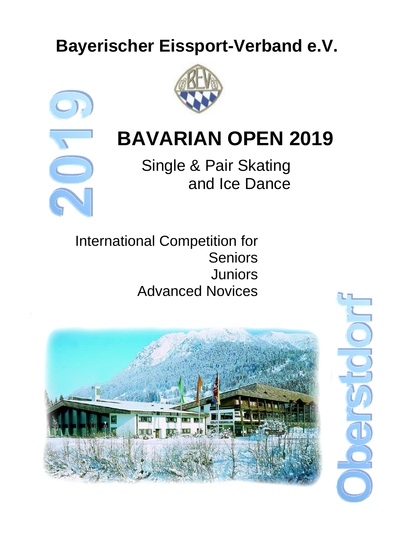# **Bayerischer Eissport-Verband e.V.**





# **BAVARIAN OPEN 2019**

Single & Pair Skating and Ice Dance

International Competition for Seniors Juniors Advanced Novices

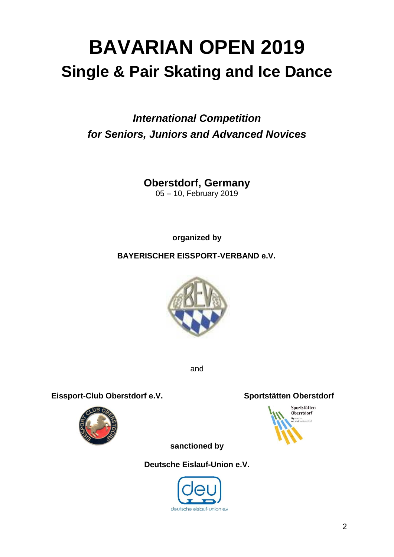# **BAVARIAN OPEN 2019 Single & Pair Skating and Ice Dance**

## *International Competition for Seniors, Juniors and Advanced Novices*

**Oberstdorf, Germany**

05 – 10, February 2019

**organized by**

**BAYERISCHER EISSPORT-VERBAND e.V.**



and

Eissport-Club Oberstdorf e.V. Sportstätten Oberstdorf





**sanctioned by** 

**Deutsche Eislauf-Union e.V.**

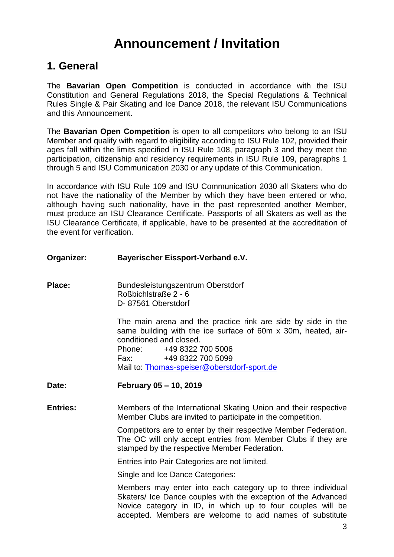# **Announcement / Invitation**

## **1. General**

The **Bavarian Open Competition** is conducted in accordance with the ISU Constitution and General Regulations 2018, the Special Regulations & Technical Rules Single & Pair Skating and Ice Dance 2018, the relevant ISU Communications and this Announcement.

The **Bavarian Open Competition** is open to all competitors who belong to an ISU Member and qualify with regard to eligibility according to ISU Rule 102, provided their ages fall within the limits specified in ISU Rule 108, paragraph 3 and they meet the participation, citizenship and residency requirements in ISU Rule 109, paragraphs 1 through 5 and ISU Communication 2030 or any update of this Communication.

In accordance with ISU Rule 109 and ISU Communication 2030 all Skaters who do not have the nationality of the Member by which they have been entered or who, although having such nationality, have in the past represented another Member, must produce an ISU Clearance Certificate. Passports of all Skaters as well as the ISU Clearance Certificate, if applicable, have to be presented at the accreditation of the event for verification.

| Organizer: | <b>Bayerischer Eissport-Verband e.V.</b> |
|------------|------------------------------------------|
|            |                                          |

Place: Bundesleistungszentrum Oberstdorf Roßbichlstraße 2 - 6 D- 87561 Oberstdorf

> The main arena and the practice rink are side by side in the same building with the ice surface of 60m x 30m, heated, airconditioned and closed. Phone: +49 8322 700 5006 Fax: +49 8322 700 5099 Mail to: [Thomas-speiser@oberstdorf-sport.de](file:///E:/../../../../Users/Peter%20Krick/AppData/Local/Microsoft/Windows/Peter%20Krick/AppData/Users/Julia%20Degenhardt/AppData/AppData/Local/Users/Peter%20Krick/AppData/Local/AppData/Users/Julia%20Degenhardt/AppData/Local/Microsoft/Windows/Users/Peter%20Krick/AppData/AppData/Local/Microsoft/Windows/Temporary%20Internet%20Files/Content.IE5/O6YYXZ27/Thomas-speiser@oberstdorf-sport.de)

- **Date: February 05 – 10, 2019**
- **Entries:** Members of the International Skating Union and their respective Member Clubs are invited to participate in the competition.

Competitors are to enter by their respective Member Federation. The OC will only accept entries from Member Clubs if they are stamped by the respective Member Federation.

Entries into Pair Categories are not limited.

Single and Ice Dance Categories:

Members may enter into each category up to three individual Skaters/ Ice Dance couples with the exception of the Advanced Novice category in ID, in which up to four couples will be accepted. Members are welcome to add names of substitute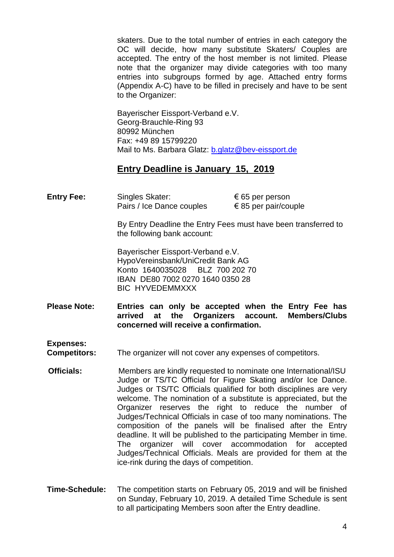skaters. Due to the total number of entries in each category the OC will decide, how many substitute Skaters/ Couples are accepted. The entry of the host member is not limited. Please note that the organizer may divide categories with too many entries into subgroups formed by age. Attached entry forms (Appendix A-C) have to be filled in precisely and have to be sent to the Organizer:

Bayerischer Eissport-Verband e.V. Georg-Brauchle-Ring 93 80992 München Fax: +49 89 15799220 Mail to Ms. Barbara Glatz: [b.glatz@bev-eissport.de](mailto:b.glatz@bev-eissport.de)

### **Entry Deadline is January 15, 2019**

**Entry Fee:** Singles Skater: € 65 per person Pairs / Ice Dance couples  $\epsilon$  85 per pair/couple

> By Entry Deadline the Entry Fees must have been transferred to the following bank account:

Bayerischer Eissport-Verband e.V. HypoVereinsbank/UniCredit Bank AG Konto 1640035028 BLZ 700 202 70 IBAN DE80 7002 0270 1640 0350 28 BIC HYVEDEMMXXX

**Please Note: Entries can only be accepted when the Entry Fee has arrived at the Organizers account. Members/Clubs concerned will receive a confirmation.**

**Expenses:**

**Competitors:** The organizer will not cover any expenses of competitors.

- **Officials:** Members are kindly requested to nominate one International/ISU Judge or TS/TC Official for Figure Skating and/or Ice Dance. Judges or TS/TC Officials qualified for both disciplines are very welcome. The nomination of a substitute is appreciated, but the Organizer reserves the right to reduce the number of Judges/Technical Officials in case of too many nominations. The composition of the panels will be finalised after the Entry deadline. It will be published to the participating Member in time. The organizer will cover accommodation for accepted Judges/Technical Officials. Meals are provided for them at the ice-rink during the days of competition.
- **Time-Schedule:** The competition starts on February 05, 2019 and will be finished on Sunday, February 10, 2019. A detailed Time Schedule is sent to all participating Members soon after the Entry deadline.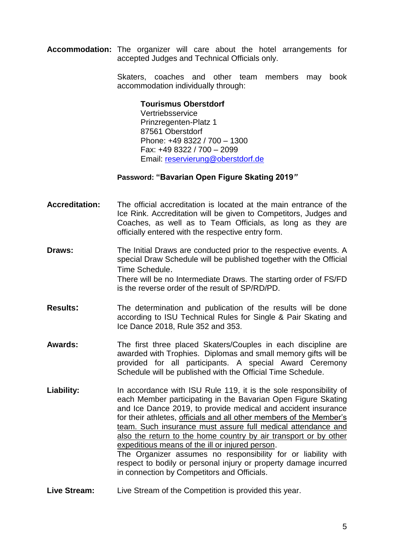**Accommodation:** The organizer will care about the hotel arrangements for accepted Judges and Technical Officials only.

> Skaters, coaches and other team members may book accommodation individually through:

#### **Tourismus Oberstdorf**

Vertriebsservice Prinzregenten-Platz 1 87561 Oberstdorf Phone: +49 8322 / 700 – 1300 Fax: +49 8322 / 700 – 2099 Email: [reservierung@oberstdorf.de](mailto:reservierung@oberstdorf.de)

#### **Password: "Bavarian Open Figure Skating 2019***"*

- **Accreditation:** The official accreditation is located at the main entrance of the Ice Rink. Accreditation will be given to Competitors, Judges and Coaches, as well as to Team Officials, as long as they are officially entered with the respective entry form.
- **Draws:** The Initial Draws are conducted prior to the respective events. A special Draw Schedule will be published together with the Official Time Schedule. There will be no Intermediate Draws. The starting order of FS/FD is the reverse order of the result of SP/RD/PD.
- **Results:** The determination and publication of the results will be done according to ISU Technical Rules for Single & Pair Skating and Ice Dance 2018, Rule 352 and 353.
- **Awards:** The first three placed Skaters/Couples in each discipline are awarded with Trophies. Diplomas and small memory gifts will be provided for all participants. A special Award Ceremony Schedule will be published with the Official Time Schedule.
- Liability: In accordance with ISU Rule 119, it is the sole responsibility of each Member participating in the Bavarian Open Figure Skating and Ice Dance 2019, to provide medical and accident insurance for their athletes, officials and all other members of the Member's team. Such insurance must assure full medical attendance and also the return to the home country by air transport or by other expeditious means of the ill or injured person. The Organizer assumes no responsibility for or liability with respect to bodily or personal injury or property damage incurred in connection by Competitors and Officials.
- **Live Stream:** Live Stream of the Competition is provided this year.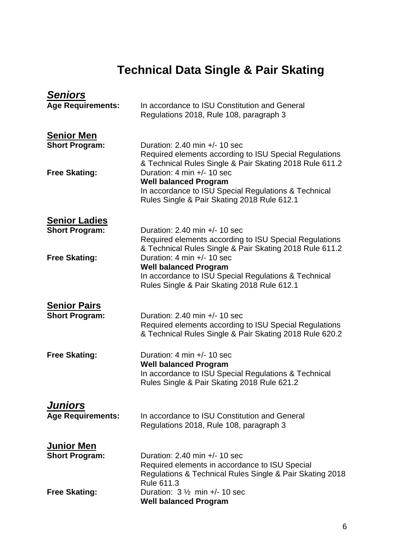# **Technical Data Single & Pair Skating**

| <u>Seniors</u><br><b>Age Requirements:</b>    | In accordance to ISU Constitution and General<br>Regulations 2018, Rule 108, paragraph 3                                                                          |
|-----------------------------------------------|-------------------------------------------------------------------------------------------------------------------------------------------------------------------|
| <b>Senior Men</b><br><b>Short Program:</b>    | Duration: $2.40$ min $+/- 10$ sec<br>Required elements according to ISU Special Regulations<br>& Technical Rules Single & Pair Skating 2018 Rule 611.2            |
| <b>Free Skating:</b>                          | Duration: 4 min +/- 10 sec<br><b>Well balanced Program</b><br>In accordance to ISU Special Regulations & Technical<br>Rules Single & Pair Skating 2018 Rule 612.1 |
| <b>Senior Ladies</b><br><b>Short Program:</b> | Duration: $2.40$ min $+/- 10$ sec<br>Required elements according to ISU Special Regulations<br>& Technical Rules Single & Pair Skating 2018 Rule 611.2            |
| <b>Free Skating:</b>                          | Duration: 4 min +/- 10 sec<br><b>Well balanced Program</b><br>In accordance to ISU Special Regulations & Technical<br>Rules Single & Pair Skating 2018 Rule 612.1 |
| <b>Senior Pairs</b><br><b>Short Program:</b>  | Duration: $2.40$ min $+/- 10$ sec<br>Required elements according to ISU Special Regulations<br>& Technical Rules Single & Pair Skating 2018 Rule 620.2            |
| <b>Free Skating:</b>                          | Duration: 4 min +/- 10 sec<br><b>Well balanced Program</b><br>In accordance to ISU Special Regulations & Technical<br>Rules Single & Pair Skating 2018 Rule 621.2 |
| <b>Juniors</b><br><b>Age Requirements:</b>    | In accordance to ISU Constitution and General<br>Regulations 2018, Rule 108, paragraph 3                                                                          |
| <u>Junior Men</u><br><b>Short Program:</b>    | Duration: $2.40$ min $+/- 10$ sec<br>Required elements in accordance to ISU Special<br>Regulations & Technical Rules Single & Pair Skating 2018<br>Rule 611.3     |
| <b>Free Skating:</b>                          | Duration: $3\frac{1}{2}$ min +/- 10 sec<br><b>Well balanced Program</b>                                                                                           |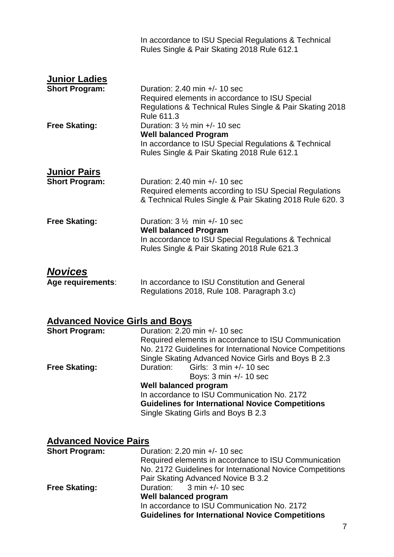|                                                                       | In accordance to ISU Special Regulations & Technical<br>Rules Single & Pair Skating 2018 Rule 612.1                                                                                                                                                                                                                                             |  |
|-----------------------------------------------------------------------|-------------------------------------------------------------------------------------------------------------------------------------------------------------------------------------------------------------------------------------------------------------------------------------------------------------------------------------------------|--|
| <b>Junior Ladies</b><br><b>Short Program:</b><br><b>Free Skating:</b> | Duration: $2.40$ min $+/- 10$ sec<br>Required elements in accordance to ISU Special<br>Regulations & Technical Rules Single & Pair Skating 2018<br>Rule 611.3<br>Duration: $3\frac{1}{2}$ min +/- 10 sec<br><b>Well balanced Program</b><br>In accordance to ISU Special Regulations & Technical<br>Rules Single & Pair Skating 2018 Rule 612.1 |  |
|                                                                       |                                                                                                                                                                                                                                                                                                                                                 |  |
| <u> Junior Pairs</u><br><b>Short Program:</b>                         | Duration: $2.40$ min $+/- 10$ sec<br>Required elements according to ISU Special Regulations<br>& Technical Rules Single & Pair Skating 2018 Rule 620. 3                                                                                                                                                                                         |  |
| <b>Free Skating:</b>                                                  | Duration: $3\frac{1}{2}$ min +/- 10 sec<br><b>Well balanced Program</b><br>In accordance to ISU Special Regulations & Technical<br>Rules Single & Pair Skating 2018 Rule 621.3                                                                                                                                                                  |  |
| <u>Novices</u><br>Age requirements:                                   | In accordance to ISU Constitution and General<br>Regulations 2018, Rule 108. Paragraph 3.c)                                                                                                                                                                                                                                                     |  |
|                                                                       |                                                                                                                                                                                                                                                                                                                                                 |  |
| <b>Advanced Novice Girls and Boys</b><br><b>Short Program:</b>        | Duration: $2.20$ min $+/- 10$ sec<br>Required elements in accordance to ISU Communication<br>No. 2172 Guidelines for International Novice Competitions<br>Single Skating Advanced Novice Girls and Boys B 2.3                                                                                                                                   |  |
| <b>Free Skating:</b>                                                  | Girls: $3 \text{ min } +/- 10 \text{ sec}$<br>Duration:<br>Boys: $3 \text{ min } +/- 10 \text{ sec}$<br><b>Well balanced program</b><br>In accordance to ISU Communication No. 2172<br><b>Guidelines for International Novice Competitions</b><br>Single Skating Girls and Boys B 2.3                                                           |  |
|                                                                       |                                                                                                                                                                                                                                                                                                                                                 |  |
| <b>Advanced Novice Pairs</b>                                          |                                                                                                                                                                                                                                                                                                                                                 |  |
| <b>Short Program:</b>                                                 | Duration: $2.20$ min $+/- 10$ sec                                                                                                                                                                                                                                                                                                               |  |
|                                                                       | Required elements in accordance to ISU Communication<br>No. 2172 Guidelines for International Novice Competitions<br>Pair Skating Advanced Novice B 3.2<br>$3$ min $+/- 10$ sec<br>Duration:                                                                                                                                                    |  |
| <b>Free Skating:</b>                                                  | <b>Well balanced program</b><br>In accordance to ISU Communication No. 2172<br><b>Guidelines for International Novice Competitions</b>                                                                                                                                                                                                          |  |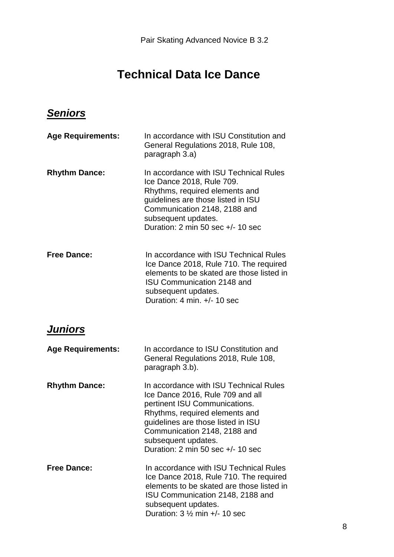# **Technical Data Ice Dance**

## *Seniors*

| <b>Age Requirements:</b> | In accordance with ISU Constitution and<br>General Regulations 2018, Rule 108,<br>paragraph 3.a)                                                                                                                                                                                |
|--------------------------|---------------------------------------------------------------------------------------------------------------------------------------------------------------------------------------------------------------------------------------------------------------------------------|
| <b>Rhythm Dance:</b>     | In accordance with ISU Technical Rules<br>Ice Dance 2018, Rule 709.<br>Rhythms, required elements and<br>guidelines are those listed in ISU<br>Communication 2148, 2188 and<br>subsequent updates.<br>Duration: 2 min 50 sec +/- 10 sec                                         |
| <b>Free Dance:</b>       | In accordance with ISU Technical Rules<br>Ice Dance 2018, Rule 710. The required<br>elements to be skated are those listed in<br><b>ISU Communication 2148 and</b><br>subsequent updates.<br>Duration: 4 min. +/- 10 sec                                                        |
| <b>Juniors</b>           |                                                                                                                                                                                                                                                                                 |
| <b>Age Requirements:</b> | In accordance to ISU Constitution and<br>General Regulations 2018, Rule 108,<br>paragraph 3.b).                                                                                                                                                                                 |
| <b>Rhythm Dance:</b>     | In accordance with ISU Technical Rules<br>Ice Dance 2016, Rule 709 and all<br>pertinent ISU Communications.<br>Rhythms, required elements and<br>guidelines are those listed in ISU<br>Communication 2148, 2188 and<br>subsequent updates.<br>Duration: 2 min 50 sec +/- 10 sec |
| <b>Free Dance:</b>       | In accordance with ISU Technical Rules<br>Ice Dance 2018, Rule 710. The required<br>elements to be skated are those listed in<br>ISU Communication 2148, 2188 and<br>subsequent updates.<br>Duration: $3\frac{1}{2}$ min +/- 10 sec                                             |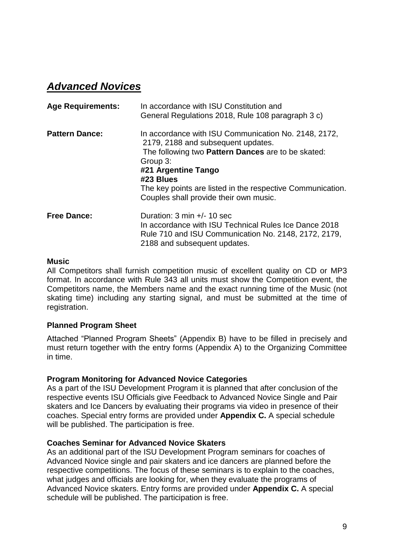## *Advanced Novices*

| <b>Age Requirements:</b> | In accordance with ISU Constitution and<br>General Regulations 2018, Rule 108 paragraph 3 c)                                                                                                                                                                                                                    |
|--------------------------|-----------------------------------------------------------------------------------------------------------------------------------------------------------------------------------------------------------------------------------------------------------------------------------------------------------------|
| <b>Pattern Dance:</b>    | In accordance with ISU Communication No. 2148, 2172,<br>2179, 2188 and subsequent updates.<br>The following two <b>Pattern Dances</b> are to be skated:<br>Group 3:<br>#21 Argentine Tango<br>#23 Blues<br>The key points are listed in the respective Communication.<br>Couples shall provide their own music. |
| <b>Free Dance:</b>       | Duration: $3 \text{ min } +/- 10 \text{ sec}$<br>In accordance with ISU Technical Rules Ice Dance 2018<br>Rule 710 and ISU Communication No. 2148, 2172, 2179,<br>2188 and subsequent updates.                                                                                                                  |

#### **Music**

All Competitors shall furnish competition music of excellent quality on CD or MP3 format. In accordance with Rule 343 all units must show the Competition event, the Competitors name, the Members name and the exact running time of the Music (not skating time) including any starting signal, and must be submitted at the time of registration.

#### **Planned Program Sheet**

Attached "Planned Program Sheets" (Appendix B) have to be filled in precisely and must return together with the entry forms (Appendix A) to the Organizing Committee in time.

#### **Program Monitoring for Advanced Novice Categories**

As a part of the ISU Development Program it is planned that after conclusion of the respective events ISU Officials give Feedback to Advanced Novice Single and Pair skaters and Ice Dancers by evaluating their programs via video in presence of their coaches. Special entry forms are provided under **Appendix C.** A special schedule will be published. The participation is free.

#### **Coaches Seminar for Advanced Novice Skaters**

As an additional part of the ISU Development Program seminars for coaches of Advanced Novice single and pair skaters and ice dancers are planned before the respective competitions. The focus of these seminars is to explain to the coaches, what judges and officials are looking for, when they evaluate the programs of Advanced Novice skaters. Entry forms are provided under **Appendix C.** A special schedule will be published. The participation is free.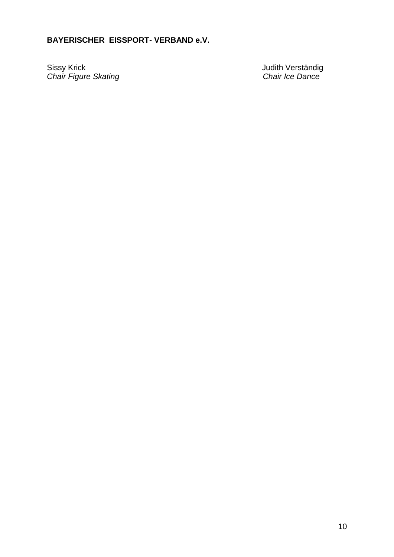### **BAYERISCHER EISSPORT- VERBAND e.V.**

Sissy Krick **Verständig** Sissy Krick **Verständig** *Chair Figure Skating Chair Ice Dance*